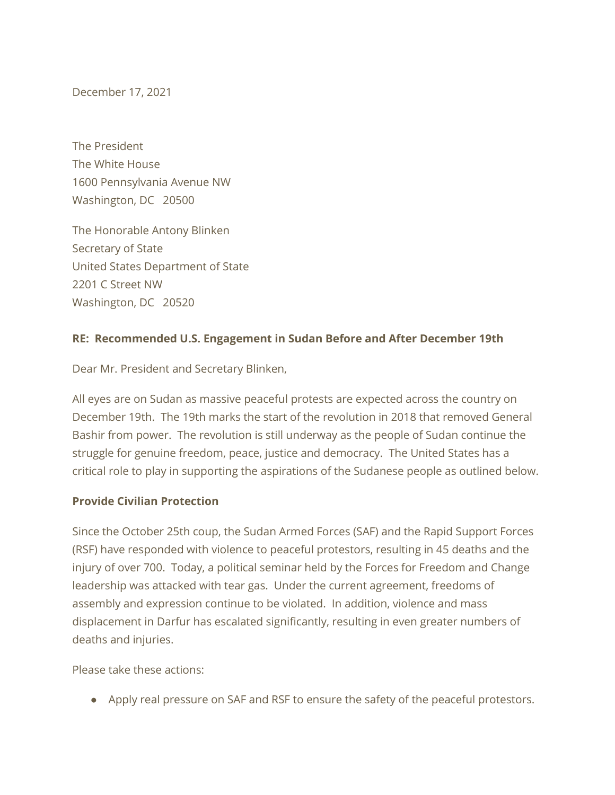December 17, 2021

The President The White House 1600 Pennsylvania Avenue NW Washington, DC 20500

The Honorable Antony Blinken Secretary of State United States Department of State 2201 C Street NW Washington, DC 20520

## **RE: Recommended U.S. Engagement in Sudan Before and After December 19th**

Dear Mr. President and Secretary Blinken,

All eyes are on Sudan as massive peaceful protests are expected across the country on December 19th. The 19th marks the start of the revolution in 2018 that removed General Bashir from power. The revolution is still underway as the people of Sudan continue the struggle for genuine freedom, peace, justice and democracy. The United States has a critical role to play in supporting the aspirations of the Sudanese people as outlined below.

## **Provide Civilian Protection**

Since the October 25th coup, the Sudan Armed Forces (SAF) and the Rapid Support Forces (RSF) have responded with violence to peaceful protestors, resulting in 45 deaths and the injury of over 700. Today, a political seminar held by the Forces for Freedom and Change leadership was attacked with tear gas. Under the current agreement, freedoms of assembly and expression continue to be violated. In addition, violence and mass displacement in Darfur has escalated significantly, resulting in even greater numbers of deaths and injuries.

Please take these actions:

● Apply real pressure on SAF and RSF to ensure the safety of the peaceful protestors.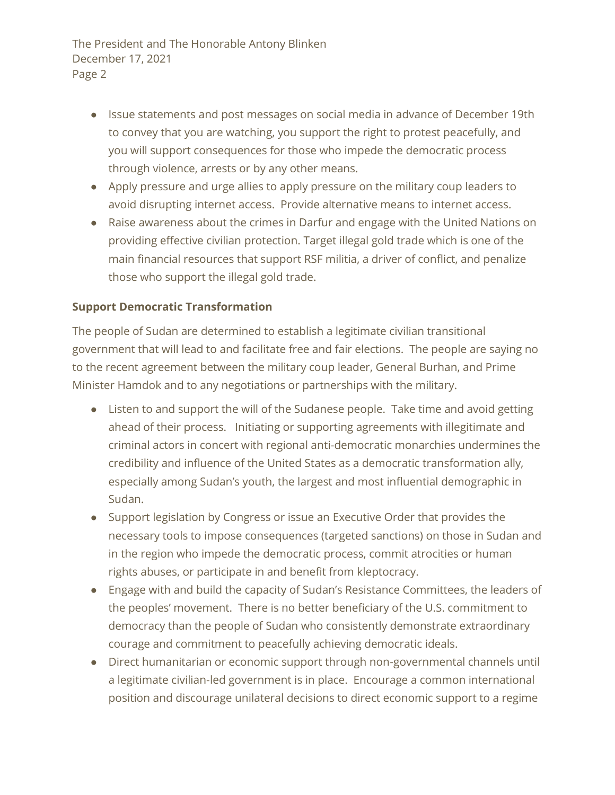The President and The Honorable Antony Blinken December 17, 2021 Page 2

- Issue statements and post messages on social media in advance of December 19th to convey that you are watching, you support the right to protest peacefully, and you will support consequences for those who impede the democratic process through violence, arrests or by any other means.
- Apply pressure and urge allies to apply pressure on the military coup leaders to avoid disrupting internet access. Provide alternative means to internet access.
- Raise awareness about the crimes in Darfur and engage with the United Nations on providing effective civilian protection. Target illegal gold trade which is one of the main financial resources that support RSF militia, a driver of conflict, and penalize those who support the illegal gold trade.

## **Support Democratic Transformation**

The people of Sudan are determined to establish a legitimate civilian transitional government that will lead to and facilitate free and fair elections. The people are saying no to the recent agreement between the military coup leader, General Burhan, and Prime Minister Hamdok and to any negotiations or partnerships with the military.

- Listen to and support the will of the Sudanese people. Take time and avoid getting ahead of their process. Initiating or supporting agreements with illegitimate and criminal actors in concert with regional anti-democratic monarchies undermines the credibility and influence of the United States as a democratic transformation ally, especially among Sudan's youth, the largest and most influential demographic in Sudan.
- Support legislation by Congress or issue an Executive Order that provides the necessary tools to impose consequences (targeted sanctions) on those in Sudan and in the region who impede the democratic process, commit atrocities or human rights abuses, or participate in and benefit from kleptocracy.
- Engage with and build the capacity of Sudan's Resistance Committees, the leaders of the peoples' movement. There is no better beneficiary of the U.S. commitment to democracy than the people of Sudan who consistently demonstrate extraordinary courage and commitment to peacefully achieving democratic ideals.
- Direct humanitarian or economic support through non-governmental channels until a legitimate civilian-led government is in place. Encourage a common international position and discourage unilateral decisions to direct economic support to a regime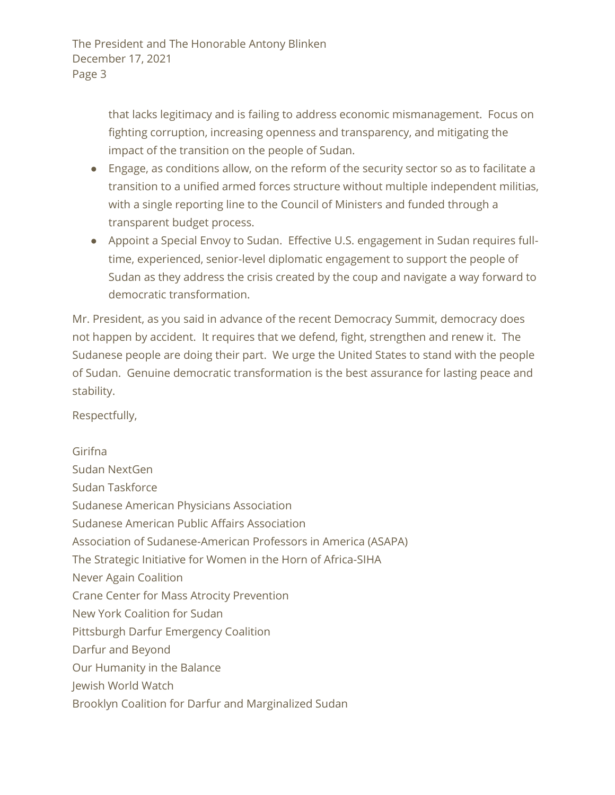that lacks legitimacy and is failing to address economic mismanagement. Focus on fighting corruption, increasing openness and transparency, and mitigating the impact of the transition on the people of Sudan.

- Engage, as conditions allow, on the reform of the security sector so as to facilitate a transition to a unified armed forces structure without multiple independent militias, with a single reporting line to the Council of Ministers and funded through a transparent budget process.
- Appoint a Special Envoy to Sudan. Effective U.S. engagement in Sudan requires fulltime, experienced, senior-level diplomatic engagement to support the people of Sudan as they address the crisis created by the coup and navigate a way forward to democratic transformation.

Mr. President, as you said in advance of the recent Democracy Summit, democracy does not happen by accident. It requires that we defend, fight, strengthen and renew it. The Sudanese people are doing their part. We urge the United States to stand with the people of Sudan. Genuine democratic transformation is the best assurance for lasting peace and stability.

Respectfully,

Girifna Sudan NextGen Sudan Taskforce Sudanese American Physicians Association Sudanese American Public Affairs Association Association of Sudanese-American Professors in America (ASAPA) The Strategic Initiative for Women in the Horn of Africa-SIHA Never Again Coalition Crane Center for Mass Atrocity Prevention New York Coalition for Sudan Pittsburgh Darfur Emergency Coalition Darfur and Beyond Our Humanity in the Balance Jewish World Watch Brooklyn Coalition for Darfur and Marginalized Sudan